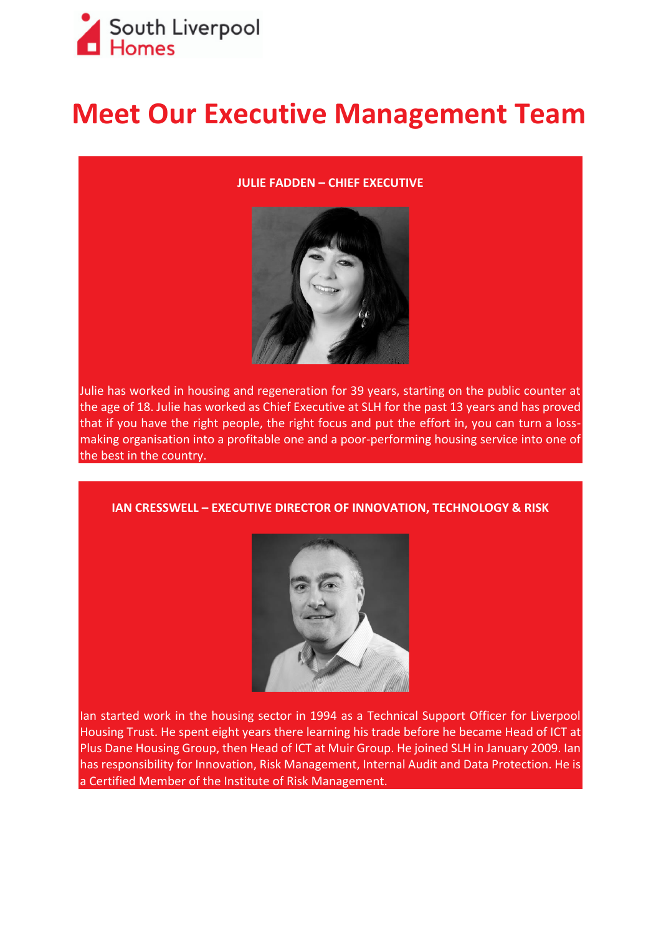

## **Meet Our Executive Management Team**

## **JULIE FADDEN – CHIEF EXECUTIVE**



Julie has worked in housing and regeneration for 39 years, starting on the public counter at the age of 18. Julie has worked as Chief Executive at SLH for the past 13 years and has proved that if you have the right people, the right focus and put the effort in, you can turn a lossmaking organisation into a profitable one and a poor-performing housing service into one of the best in the country.

**IAN CRESSWELL – EXECUTIVE DIRECTOR OF INNOVATION, TECHNOLOGY & RISK** 



Ian started work in the housing sector in 1994 as a Technical Support Officer for Liverpool Housing Trust. He spent eight years there learning his trade before he became Head of ICT at Plus Dane Housing Group, then Head of ICT at Muir Group. He joined SLH in January 2009. Ian has responsibility for Innovation, Risk Management, Internal Audit and Data Protection. He is a Certified Member of the Institute of Risk Management.